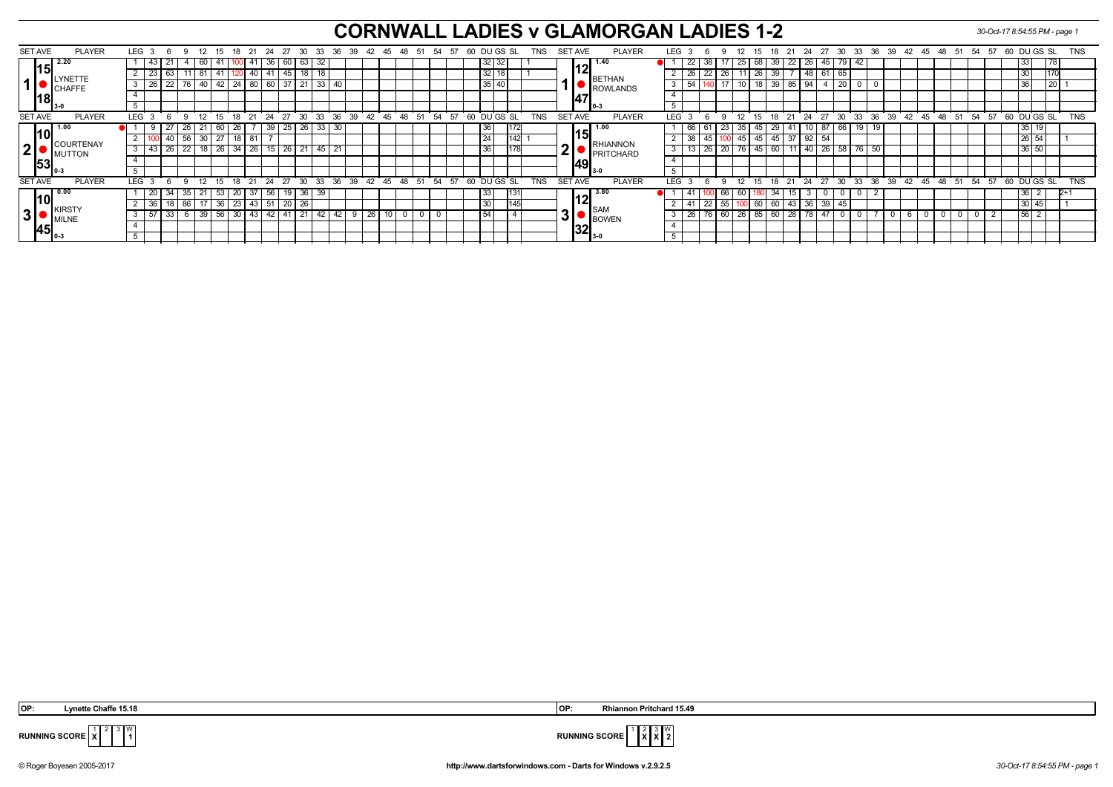## **CORNWALL LADIES v GLAMORGAN LADIES 1-2** *30-Oct-17 8:54:55 PM - page 1*

|   | SET AVE        | <b>PLAYER</b>                                                                 |     | LEG <sub>3</sub> | 6        |     | 12              | -15                    | 18                               |      | 24 | -27                 | -30             | -33     | -36                                             | -39   | 42 | -45         | -48 | -51 | 54    | -57 | 60 |              | DU GS SL    |     | TNS        |           | SET AVE        |                    | <b>PLAYER</b>    | <b>LEG</b> |                 |                 | 12                  |             | 18              | 21                | - 24        | -27   | 30      | - 33            | -36 | 39 | $\cdot$ 42 $\cdot$ | -45 | 48 | - 51 | -54                                          | - 57 | 60 DU GS SL   |                 | TNS        |
|---|----------------|-------------------------------------------------------------------------------|-----|------------------|----------|-----|-----------------|------------------------|----------------------------------|------|----|---------------------|-----------------|---------|-------------------------------------------------|-------|----|-------------|-----|-----|-------|-----|----|--------------|-------------|-----|------------|-----------|----------------|--------------------|------------------|------------|-----------------|-----------------|---------------------|-------------|-----------------|-------------------|-------------|-------|---------|-----------------|-----|----|--------------------|-----|----|------|----------------------------------------------|------|---------------|-----------------|------------|
|   |                | 12.20                                                                         |     | 43               | 21       | -4  | 60              | 41                     |                                  | -41  |    | 36 60               | 63 I            | 32      |                                                 |       |    |             |     |     |       |     |    | $32 \mid 32$ |             |     |            |           |                | 1.40               |                  |            | 22              | 38 <sup>1</sup> |                     | 125 68      |                 | $39 \mid 22 \mid$ |             | 26 45 | 79   42 |                 |     |    |                    |     |    |      |                                              |      | 33            | 178             |            |
|   | 15             | LYNETTE<br><b>ICHAFFE</b><br>$^{\textsf{I}18}$ <sub>3-0</sub>                 |     | $2 \mid 23 \mid$ | 63       |     | 11 81           | $\cdot$ + 41   $\cdot$ |                                  |      |    | $140$   $41$   $45$ |                 | 18   18 |                                                 |       |    |             |     |     |       |     |    | 32 18        |             |     |            |           |                |                    | <b>BETHAN</b>    |            | 26              |                 | $22$   26   11      |             | 39<br>$26 \mid$ |                   | 48          |       | 65      |                 |     |    |                    |     |    |      |                                              |      | 30            |                 |            |
|   |                |                                                                               | 3 I | 26               | 22       |     |                 |                        | 76   40   42   24   80   60   37 |      |    |                     |                 |         | 33 40                                           |       |    |             |     |     |       |     |    | 35 40        |             |     |            |           |                |                    | ROWLANDS         | 3          | 154             |                 |                     |             |                 | 18 39 85 94       |             |       | 20      |                 |     |    |                    |     |    |      |                                              |      | 36            | $\overline{20}$ |            |
|   |                |                                                                               |     |                  |          |     |                 |                        |                                  |      |    |                     |                 |         |                                                 |       |    |             |     |     |       |     |    |              |             |     |            |           | 147            |                    |                  |            |                 |                 |                     |             |                 |                   |             |       |         |                 |     |    |                    |     |    |      |                                              |      |               |                 |            |
|   |                |                                                                               | . ხ |                  |          |     |                 |                        |                                  |      |    |                     |                 |         |                                                 |       |    |             |     |     |       |     |    |              |             |     |            |           |                |                    | I 0-3            |            |                 |                 |                     |             |                 |                   |             |       |         |                 |     |    |                    |     |    |      |                                              |      |               |                 |            |
|   | <b>SET AVE</b> | <b>PLAYER</b>                                                                 |     | LEG 3            | െ        | - 9 |                 |                        |                                  |      |    |                     |                 |         | 12 15 18 21 24 27 30 33 36 39 42 45 48 51 54 57 |       |    |             |     |     |       |     | 60 |              | DU GS SL    |     | <b>TNS</b> |           | SET AVE        |                    | <b>PLAYER</b>    | <b>LEG</b> |                 | - 6             | $^{\circ}$ 12<br>-9 |             |                 |                   |             |       |         |                 |     |    |                    |     |    |      | 15 18 21 24 27 30 33 36 39 42 45 48 51 54 57 |      | 60 DUGS SL    |                 | TNS        |
|   |                |                                                                               |     |                  |          | 26  |                 | 60                     | 26                               |      | 39 | 25                  | 26 <sub>1</sub> | 33      | -30                                             |       |    |             |     |     |       |     |    | 36           |             |     |            |           |                |                    | 1.00             |            | $-66$           |                 | 23                  | 35          | 29<br>45        |                   |             | 87    | 66      | 19 <sub>1</sub> |     |    |                    |     |    |      |                                              |      | 35 19         |                 |            |
|   | l10l           | <b>COURTENAY</b><br>MUTTON<br>$\overline{\mathsf{153}}_{\mathsf{0}\text{-3}}$ |     |                  | 40       |     | $56$ 30         | 27                     | ∣ 18 I                           | 81   |    |                     |                 |         |                                                 |       |    |             |     |     |       |     |    |              |             |     |            |           | 15.            |                    | <b>RHIANNON</b>  |            | $\overline{38}$ | 45              |                     | 15 45 45 45 |                 | 37                | $\sqrt{92}$ | 54    |         |                 |     |    |                    |     |    |      |                                              |      | 26 54         |                 |            |
| 2 |                |                                                                               |     | $3 \mid 43 \mid$ | 26       |     |                 |                        | 22   18   26   34                | 26   |    | $15$ 26             | 21              | 45      | 21                                              |       |    |             |     |     |       |     |    | 36           |             |     |            | Λ         |                |                    | <b>PRITCHARD</b> | 3          |                 | 26              | 20 76 45 60         |             |                 |                   | $11$ 40 26  |       | 58      | $76$ 50         |     |    |                    |     |    |      |                                              |      | 36 50         |                 |            |
|   |                |                                                                               |     |                  |          |     |                 |                        |                                  |      |    |                     |                 |         |                                                 |       |    |             |     |     |       |     |    |              |             |     |            |           | 1491           |                    |                  |            |                 |                 |                     |             |                 |                   |             |       |         |                 |     |    |                    |     |    |      |                                              |      |               |                 |            |
|   |                |                                                                               |     |                  |          |     |                 |                        |                                  |      |    |                     |                 |         |                                                 |       |    |             |     |     |       |     |    |              |             |     |            |           |                | II 3-0             |                  |            |                 |                 |                     |             |                 |                   |             |       |         |                 |     |    |                    |     |    |      |                                              |      |               |                 |            |
|   | <b>SET AVE</b> | <b>PLAYER</b>                                                                 |     | LEG <sub>3</sub> | <b>6</b> |     | 12 <sup>1</sup> | 15                     | 18 21                            |      | 24 | 27                  | $30^{\circ}$    | 33      |                                                 | 36 39 |    | 42 45 48 51 |     |     | 54 57 |     |    |              | 60 DU GS SL |     | <b>TNS</b> |           | <b>SET AVE</b> |                    | <b>PLAYER</b>    | <b>LEG</b> |                 | $\epsilon$      | 12<br>9             | 15          |                 | 18 21 24          |             |       |         |                 |     |    |                    |     |    |      | 27 30 33 36 39 42 45 48 51 54 57             |      | 60 DU GS SL   |                 | <b>TNS</b> |
|   |                | $\blacksquare$ 0.00                                                           |     | 20               | 34       | 35  |                 | 53                     | .20 <sup>1</sup>                 |      | 56 |                     | 36 <sup>2</sup> | 39      |                                                 |       |    |             |     |     |       |     |    | 33           |             |     |            |           |                | 13.80              |                  |            | -41             |                 | bb                  |             | -34             |                   |             |       |         |                 |     |    |                    |     |    |      |                                              |      | 36 I          |                 | $2+1$      |
|   | 10             | . IKIRSTY<br><b>IMILNE</b>                                                    |     | 36               | 18       | 86  |                 | 36                     | 23                               | 43 I | 51 | $\overline{2}0$     | 26              |         |                                                 |       |    |             |     |     |       |     |    | 30           |             | 145 |            |           |                |                    | <b>I</b> SAM     |            | -41             |                 | 55                  | 60          | 60              | -43               | 36          | 39    |         |                 |     |    |                    |     |    |      |                                              |      | 30 45         |                 |            |
| 3 |                |                                                                               |     | 3   57           | 33       | -6  | 39              | 56                     | $\sqrt{30}$                      | 43   | 42 | 141                 |                 | 42      | l 42                                            |       | 26 |             |     |     |       |     |    | 54           |             |     |            | ∍<br>'ا ک |                |                    | <b>BOWEN</b>     |            | -26             |                 | $60$   26           | 85          | 60              | $\overline{28}$   |             | 4     |         |                 |     |    |                    |     |    |      |                                              |      | $\sqrt{56}$ 2 |                 |            |
|   |                |                                                                               |     |                  |          |     |                 |                        |                                  |      |    |                     |                 |         |                                                 |       |    |             |     |     |       |     |    |              |             |     |            |           |                |                    |                  |            |                 |                 |                     |             |                 |                   |             |       |         |                 |     |    |                    |     |    |      |                                              |      |               |                 |            |
|   |                |                                                                               |     |                  |          |     |                 |                        |                                  |      |    |                     |                 |         |                                                 |       |    |             |     |     |       |     |    |              |             |     |            |           |                | ا32 <sub>ع-د</sub> |                  |            |                 |                 |                     |             |                 |                   |             |       |         |                 |     |    |                    |     |    |      |                                              |      |               |                 |            |

3 W

 **OP: Lynette Chaffe 15.18 OP: Rhiannon Pritchard 15.49**



**RUNNING SCORE**  $\frac{1}{x}$ 

© Roger Boyesen 2005-2017 **http://www.dartsforwindows.com - Darts for Windows v.2.9.2.5** *30-Oct-17 8:54:55 PM - page 1*